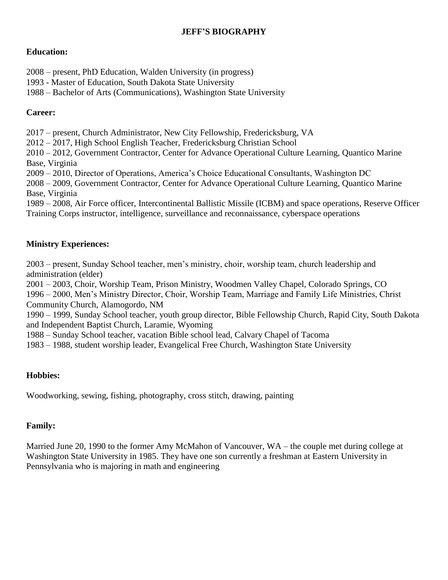## **JEFF'S BIOGRAPHY**

## **Education:**

2008 – present, PhD Education, Walden University (in progress)

1993 - Master of Education, South Dakota State University

1988 – Bachelor of Arts (Communications), Washington State University

## **Career:**

2017 – present, Church Administrator, New City Fellowship, Fredericksburg, VA

2012 – 2017, High School English Teacher, Fredericksburg Christian School

2010 – 2012, Government Contractor, Center for Advance Operational Culture Learning, Quantico Marine Base, Virginia

2009 – 2010, Director of Operations, America's Choice Educational Consultants, Washington DC

2008 – 2009, Government Contractor, Center for Advance Operational Culture Learning, Quantico Marine Base, Virginia

1989 – 2008, Air Force officer, Intercontinental Ballistic Missile (ICBM) and space operations, Reserve Officer Training Corps instructor, intelligence, surveillance and reconnaissance, cyberspace operations

# **Ministry Experiences:**

2003 – present, Sunday School teacher, men's ministry, choir, worship team, church leadership and administration (elder)

2001 – 2003, Choir, Worship Team, Prison Ministry, Woodmen Valley Chapel, Colorado Springs, CO

1996 – 2000, Men's Ministry Director, Choir, Worship Team, Marriage and Family Life Ministries, Christ Community Church, Alamogordo, NM

1990 – 1999, Sunday School teacher, youth group director, Bible Fellowship Church, Rapid City, South Dakota and Independent Baptist Church, Laramie, Wyoming

1988 – Sunday School teacher, vacation Bible school lead, Calvary Chapel of Tacoma

1983 – 1988, student worship leader, Evangelical Free Church, Washington State University

## **Hobbies:**

Woodworking, sewing, fishing, photography, cross stitch, drawing, painting

## **Family:**

Married June 20, 1990 to the former Amy McMahon of Vancouver, WA – the couple met during college at Washington State University in 1985. They have one son currently a freshman at Eastern University in Pennsylvania who is majoring in math and engineering